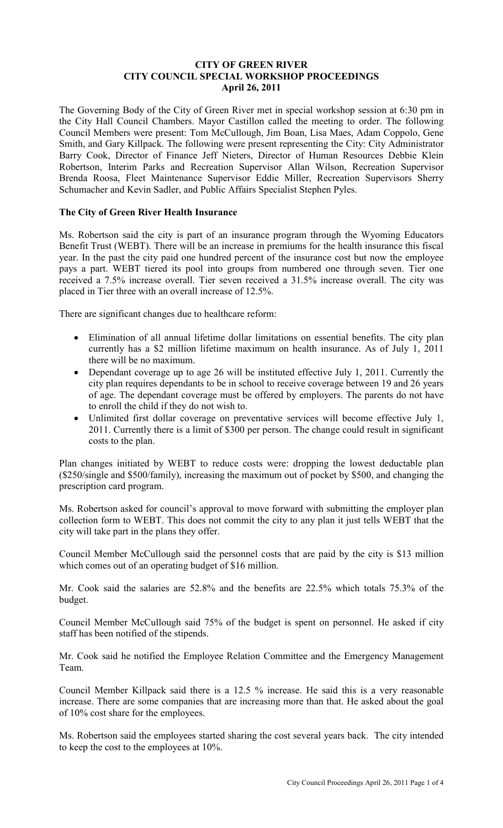## **CITY OF GREEN RIVER CITY COUNCIL SPECIAL WORKSHOP PROCEEDINGS April 26, 2011**

The Governing Body of the City of Green River met in special workshop session at 6:30 pm in the City Hall Council Chambers. Mayor Castillon called the meeting to order. The following Council Members were present: Tom McCullough, Jim Boan, Lisa Maes, Adam Coppolo, Gene Smith, and Gary Killpack. The following were present representing the City: City Administrator Barry Cook, Director of Finance Jeff Nieters, Director of Human Resources Debbie Klein Robertson, Interim Parks and Recreation Supervisor Allan Wilson, Recreation Supervisor Brenda Roosa, Fleet Maintenance Supervisor Eddie Miller, Recreation Supervisors Sherry Schumacher and Kevin Sadler, and Public Affairs Specialist Stephen Pyles.

## **The City of Green River Health Insurance**

Ms. Robertson said the city is part of an insurance program through the Wyoming Educators Benefit Trust (WEBT). There will be an increase in premiums for the health insurance this fiscal year. In the past the city paid one hundred percent of the insurance cost but now the employee pays a part. WEBT tiered its pool into groups from numbered one through seven. Tier one received a 7.5% increase overall. Tier seven received a 31.5% increase overall. The city was placed in Tier three with an overall increase of 12.5%.

There are significant changes due to healthcare reform:

- Elimination of all annual lifetime dollar limitations on essential benefits. The city plan currently has a \$2 million lifetime maximum on health insurance. As of July 1, 2011 there will be no maximum.
- Dependant coverage up to age 26 will be instituted effective July 1, 2011. Currently the city plan requires dependants to be in school to receive coverage between 19 and 26 years of age. The dependant coverage must be offered by employers. The parents do not have to enroll the child if they do not wish to.
- Unlimited first dollar coverage on preventative services will become effective July 1, 2011. Currently there is a limit of \$300 per person. The change could result in significant costs to the plan.

Plan changes initiated by WEBT to reduce costs were: dropping the lowest deductable plan (\$250/single and \$500/family), increasing the maximum out of pocket by \$500, and changing the prescription card program.

Ms. Robertson asked for council's approval to move forward with submitting the employer plan collection form to WEBT. This does not commit the city to any plan it just tells WEBT that the city will take part in the plans they offer.

Council Member McCullough said the personnel costs that are paid by the city is \$13 million which comes out of an operating budget of \$16 million.

Mr. Cook said the salaries are 52.8% and the benefits are 22.5% which totals 75.3% of the budget.

Council Member McCullough said 75% of the budget is spent on personnel. He asked if city staff has been notified of the stipends.

Mr. Cook said he notified the Employee Relation Committee and the Emergency Management Team.

Council Member Killpack said there is a 12.5 % increase. He said this is a very reasonable increase. There are some companies that are increasing more than that. He asked about the goal of 10% cost share for the employees.

Ms. Robertson said the employees started sharing the cost several years back. The city intended to keep the cost to the employees at 10%.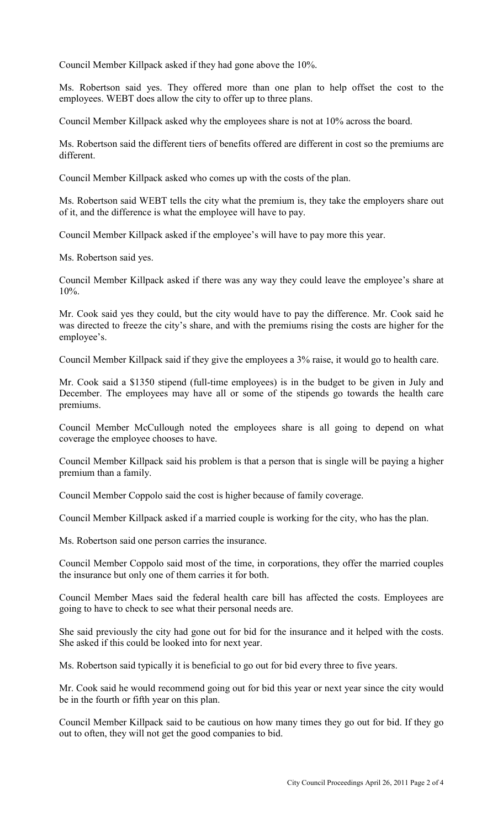Council Member Killpack asked if they had gone above the 10%.

Ms. Robertson said yes. They offered more than one plan to help offset the cost to the employees. WEBT does allow the city to offer up to three plans.

Council Member Killpack asked why the employees share is not at 10% across the board.

Ms. Robertson said the different tiers of benefits offered are different in cost so the premiums are different.

Council Member Killpack asked who comes up with the costs of the plan.

Ms. Robertson said WEBT tells the city what the premium is, they take the employers share out of it, and the difference is what the employee will have to pay.

Council Member Killpack asked if the employee's will have to pay more this year.

Ms. Robertson said yes.

Council Member Killpack asked if there was any way they could leave the employee's share at 10%.

Mr. Cook said yes they could, but the city would have to pay the difference. Mr. Cook said he was directed to freeze the city's share, and with the premiums rising the costs are higher for the employee's.

Council Member Killpack said if they give the employees a 3% raise, it would go to health care.

Mr. Cook said a \$1350 stipend (full-time employees) is in the budget to be given in July and December. The employees may have all or some of the stipends go towards the health care premiums.

Council Member McCullough noted the employees share is all going to depend on what coverage the employee chooses to have.

Council Member Killpack said his problem is that a person that is single will be paying a higher premium than a family.

Council Member Coppolo said the cost is higher because of family coverage.

Council Member Killpack asked if a married couple is working for the city, who has the plan.

Ms. Robertson said one person carries the insurance.

Council Member Coppolo said most of the time, in corporations, they offer the married couples the insurance but only one of them carries it for both.

Council Member Maes said the federal health care bill has affected the costs. Employees are going to have to check to see what their personal needs are.

She said previously the city had gone out for bid for the insurance and it helped with the costs. She asked if this could be looked into for next year.

Ms. Robertson said typically it is beneficial to go out for bid every three to five years.

Mr. Cook said he would recommend going out for bid this year or next year since the city would be in the fourth or fifth year on this plan.

Council Member Killpack said to be cautious on how many times they go out for bid. If they go out to often, they will not get the good companies to bid.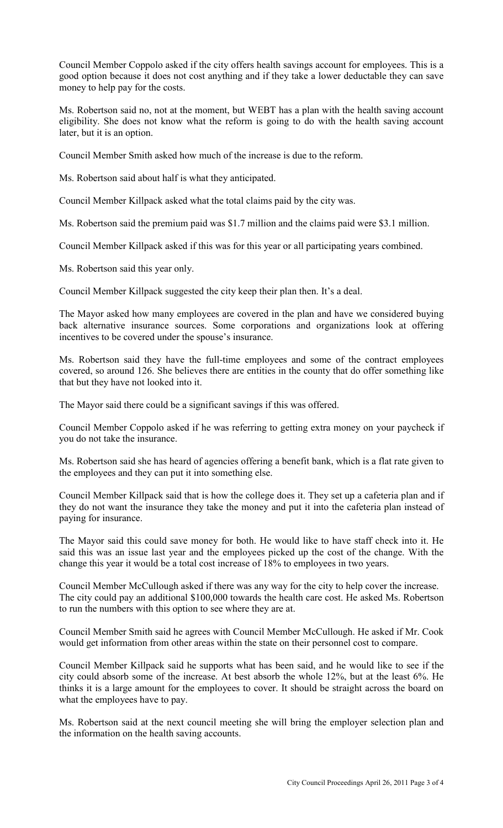Council Member Coppolo asked if the city offers health savings account for employees. This is a good option because it does not cost anything and if they take a lower deductable they can save money to help pay for the costs.

Ms. Robertson said no, not at the moment, but WEBT has a plan with the health saving account eligibility. She does not know what the reform is going to do with the health saving account later, but it is an option.

Council Member Smith asked how much of the increase is due to the reform.

Ms. Robertson said about half is what they anticipated.

Council Member Killpack asked what the total claims paid by the city was.

Ms. Robertson said the premium paid was \$1.7 million and the claims paid were \$3.1 million.

Council Member Killpack asked if this was for this year or all participating years combined.

Ms. Robertson said this year only.

Council Member Killpack suggested the city keep their plan then. It's a deal.

The Mayor asked how many employees are covered in the plan and have we considered buying back alternative insurance sources. Some corporations and organizations look at offering incentives to be covered under the spouse's insurance.

Ms. Robertson said they have the full-time employees and some of the contract employees covered, so around 126. She believes there are entities in the county that do offer something like that but they have not looked into it.

The Mayor said there could be a significant savings if this was offered.

Council Member Coppolo asked if he was referring to getting extra money on your paycheck if you do not take the insurance.

Ms. Robertson said she has heard of agencies offering a benefit bank, which is a flat rate given to the employees and they can put it into something else.

Council Member Killpack said that is how the college does it. They set up a cafeteria plan and if they do not want the insurance they take the money and put it into the cafeteria plan instead of paying for insurance.

The Mayor said this could save money for both. He would like to have staff check into it. He said this was an issue last year and the employees picked up the cost of the change. With the change this year it would be a total cost increase of 18% to employees in two years.

Council Member McCullough asked if there was any way for the city to help cover the increase. The city could pay an additional \$100,000 towards the health care cost. He asked Ms. Robertson to run the numbers with this option to see where they are at.

Council Member Smith said he agrees with Council Member McCullough. He asked if Mr. Cook would get information from other areas within the state on their personnel cost to compare.

Council Member Killpack said he supports what has been said, and he would like to see if the city could absorb some of the increase. At best absorb the whole 12%, but at the least 6%. He thinks it is a large amount for the employees to cover. It should be straight across the board on what the employees have to pay.

Ms. Robertson said at the next council meeting she will bring the employer selection plan and the information on the health saving accounts.